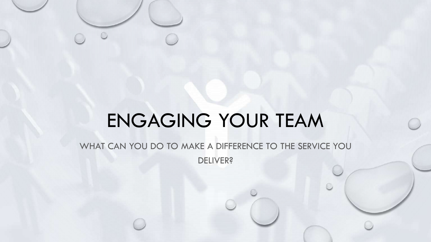# ENGAGING YOUR TEAM

WHAT CAN YOU DO TO MAKE A DIFFERENCE TO THE SERVICE YOU DELIVER?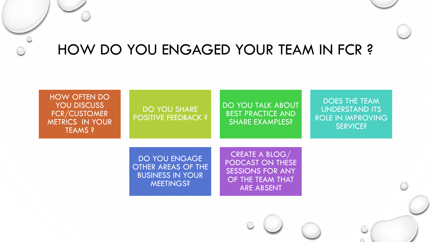### HOW DO YOU ENGAGED YOUR TEAM IN FCR ?

### HOW OFTEN DO YOU DISCUSS FCR/CUSTOMER METRICS IN YOUR TEAMS ?

### DO YOU SHARE POSITIVE FEEDBACK ?

### DO YOU TALK ABOUT BEST PRACTICE AND SHARE EXAMPLES?

### DOES THE TEAM UNDERSTAND ITS ROLE IN IMPROVING SERVICE?

DO YOU ENGAGE OTHER AREAS OF THE BUSINESS IN YOUR MEETINGS?

CREATE A BLOG/ PODCAST ON THESE SESSIONS FOR ANY OF THE TEAM THAT ARE ABSENT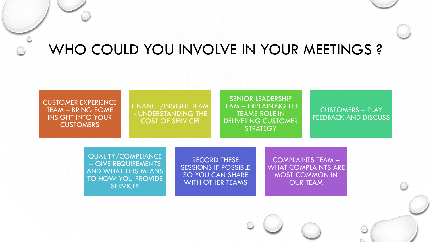## WHO COULD YOU INVOLVE IN YOUR MEETINGS ?

CUSTOMER EXPERIENCE TEAM – BRING SOME INSIGHT INTO YOUR CUSTOMERS

FINANCE/INSIGHT TEAM - UNDERSTANDING THE COST OF SERVICE?

SENIOR LEADERSHIP TEAM – EXPLAINING THE TEAMS ROLE IN DELIVERING CUSTOMER **STRATEGY** 

#### CUSTOMERS – PLAY FEEDBACK AND DISCUSS

QUALITY/COMPLIANCE – GIVE REQUIREMENTS AND WHAT THIS MEANS TO HOW YOU PROVIDE SERVICE?

RECORD THESE SESSIONS IF POSSIBLE SO YOU CAN SHARE WITH OTHER TEAMS

COMPLAINTS TEAM – WHAT COMPLAINTS ARE MOST COMMON IN OUR TEAM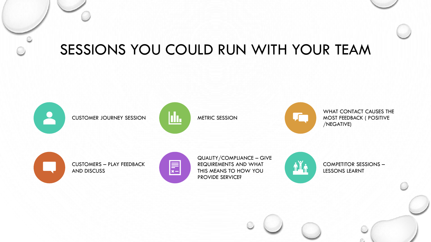### SESSIONS YOU COULD RUN WITH YOUR TEAM

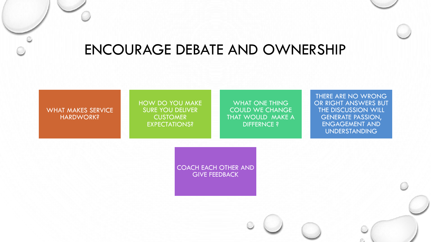### ENCOURAGE DEBATE AND OWNERSHIP

#### WHAT MAKES SERVICE HARDWORK?

#### HOW DO YOU MAKE SURE YOU DELIVER **CUSTOMER** EXPECTATIONS?

#### WHAT ONE THING COULD WE CHANGE THAT WOULD MAKE A DIFFERNCE ?

#### THERE ARE NO WRONG OR RIGHT ANSWERS BUT THE DISCUSSION WILL GENERATE PASSION, ENGAGEMENT AND UNDERSTANDING

COACH EACH OTHER AND GIVE FEEDBACK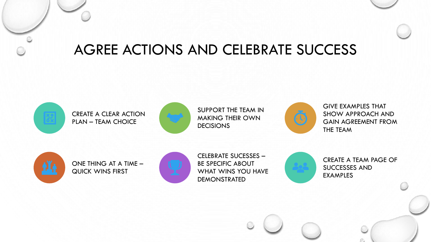### AGREE ACTIONS AND CELEBRATE SUCCESS